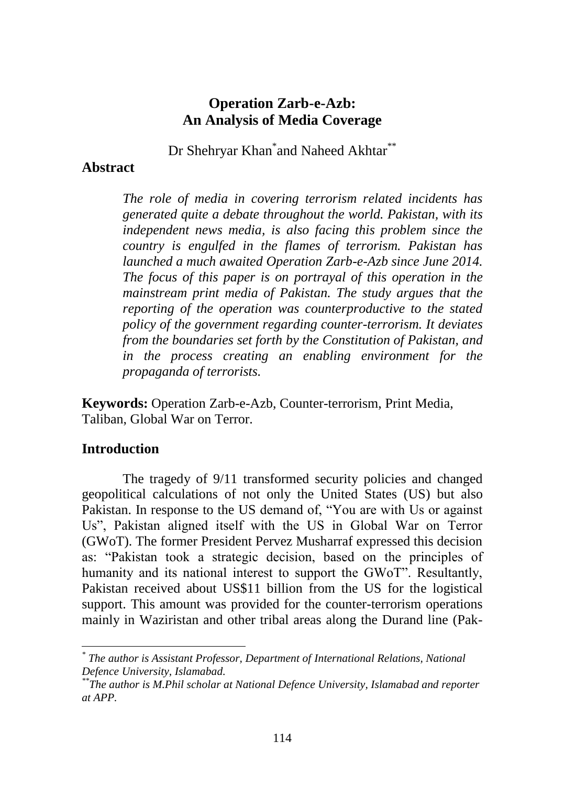# **Operation Zarb-e-Azb: An Analysis of Media Coverage**

Dr Shehryar Khan<sup>\*</sup>and Naheed Akhtar<sup>\*\*</sup>

### **Abstract**

*The role of media in covering terrorism related incidents has generated quite a debate throughout the world. Pakistan, with its independent news media, is also facing this problem since the country is engulfed in the flames of terrorism. Pakistan has launched a much awaited Operation Zarb-e-Azb since June 2014. The focus of this paper is on portrayal of this operation in the mainstream print media of Pakistan. The study argues that the reporting of the operation was counterproductive to the stated policy of the government regarding counter-terrorism. It deviates from the boundaries set forth by the Constitution of Pakistan, and in the process creating an enabling environment for the propaganda of terrorists.*

**Keywords:** Operation Zarb-e-Azb, Counter-terrorism, Print Media, Taliban, Global War on Terror.

# **Introduction**

The tragedy of 9/11 transformed security policies and changed geopolitical calculations of not only the United States (US) but also Pakistan. In response to the US demand of, "You are with Us or against Us", Pakistan aligned itself with the US in Global War on Terror (GWoT). The former President Pervez Musharraf expressed this decision as: "Pakistan took a strategic decision, based on the principles of humanity and its national interest to support the GWoT". Resultantly, Pakistan received about US\$11 billion from the US for the logistical support. This amount was provided for the counter-terrorism operations mainly in Waziristan and other tribal areas along the Durand line (Pak-

*<sup>\*</sup> The author is Assistant Professor, Department of International Relations, National Defence University, Islamabad.*

*<sup>\*\*</sup>The author is M.Phil scholar at National Defence University, Islamabad and reporter at APP.*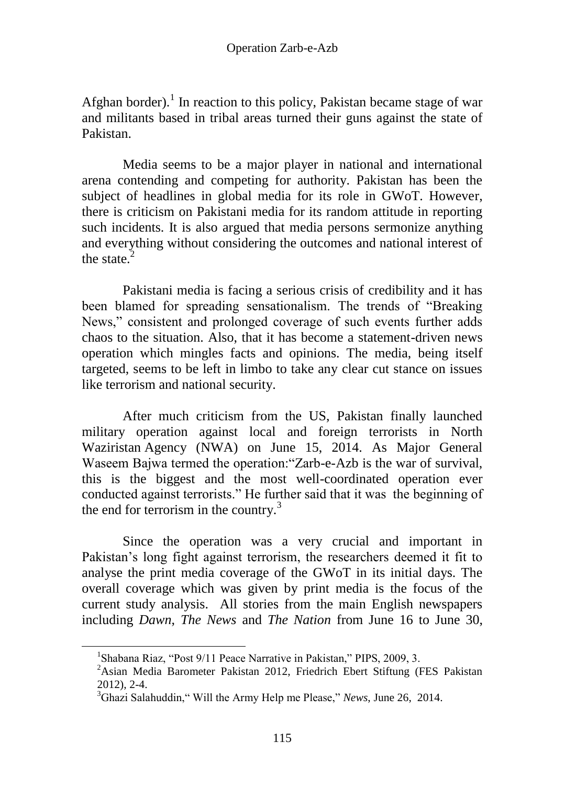Afghan border).<sup>1</sup> In reaction to this policy, Pakistan became stage of war and militants based in tribal areas turned their guns against the state of Pakistan.

Media seems to be a major player in national and international arena contending and competing for authority. Pakistan has been the subject of headlines in global media for its role in GWoT. However, there is criticism on Pakistani media for its random attitude in reporting such incidents. It is also argued that media persons sermonize anything and everything without considering the outcomes and national interest of the state. $<sup>2</sup>$ </sup>

Pakistani media is facing a serious crisis of credibility and it has been blamed for spreading sensationalism. The trends of "Breaking News," consistent and prolonged coverage of such events further adds chaos to the situation. Also, that it has become a statement-driven news operation which mingles facts and opinions. The media, being itself targeted, seems to be left in limbo to take any clear cut stance on issues like terrorism and national security.

After much criticism from the US, Pakistan finally launched military operation against local and foreign terrorists in North Waziristan Agency (NWA) on June 15, 2014. As Major General Waseem Bajwa termed the operation:"Zarb-e-Azb is the war of survival, this is the biggest and the most well-coordinated operation ever conducted against terrorists." He further said that it was the beginning of the end for terrorism in the country. $3$ 

Since the operation was a very crucial and important in Pakistan's long fight against terrorism, the researchers deemed it fit to analyse the print media coverage of the GWoT in its initial days. The overall coverage which was given by print media is the focus of the current study analysis. All stories from the main English newspapers including *Dawn*, *The News* and *The Nation* from June 16 to June 30,

<sup>&</sup>lt;sup>1</sup>Shabana Riaz, "Post 9/11 Peace Narrative in Pakistan," PIPS, 2009, 3.

<sup>&</sup>lt;sup>2</sup>Asian Media Barometer Pakistan 2012, Friedrich Ebert Stiftung (FES Pakistan 2012), 2-4.

<sup>3</sup>Ghazi Salahuddin," Will the Army Help me Please," *News*, June 26, 2014.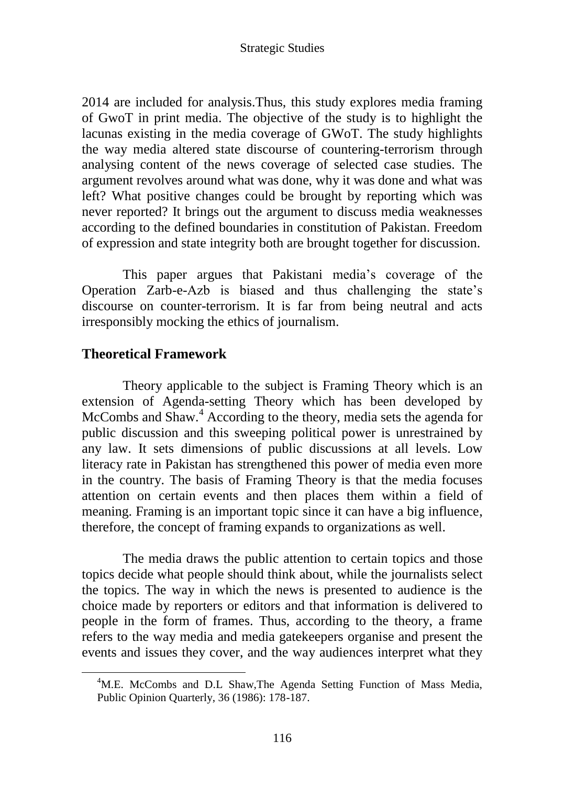2014 are included for analysis.Thus, this study explores media framing of GwoT in print media. The objective of the study is to highlight the lacunas existing in the media coverage of GWoT. The study highlights the way media altered state discourse of countering-terrorism through analysing content of the news coverage of selected case studies. The argument revolves around what was done, why it was done and what was left? What positive changes could be brought by reporting which was never reported? It brings out the argument to discuss media weaknesses according to the defined boundaries in constitution of Pakistan. Freedom of expression and state integrity both are brought together for discussion.

This paper argues that Pakistani media"s coverage of the Operation Zarb-e-Azb is biased and thus challenging the state"s discourse on counter-terrorism. It is far from being neutral and acts irresponsibly mocking the ethics of journalism.

# **Theoretical Framework**

 $\overline{a}$ 

Theory applicable to the subject is Framing Theory which is an extension of Agenda-setting Theory which has been developed by McCombs and Shaw.<sup>4</sup> According to the theory, media sets the agenda for public discussion and this sweeping political power is unrestrained by any law. It sets dimensions of public discussions at all levels. Low literacy rate in Pakistan has strengthened this power of media even more in the country. The basis of Framing Theory is that the media focuses attention on certain events and then places them within a field of meaning. Framing is an important topic since it can have a big influence, therefore, the concept of framing expands to organizations as well.

The media draws the public attention to certain topics and those topics decide what people should think about, while the journalists select the topics. The way in which the news is presented to audience is the choice made by reporters or editors and that information is delivered to people in the form of frames. Thus, according to the theory, a frame refers to the way media and media gatekeepers organise and present the events and issues they cover, and the way audiences interpret what they

<sup>&</sup>lt;sup>4</sup>M.E. McCombs and D.L Shaw, The Agenda Setting Function of Mass Media, Public Opinion Quarterly, 36 (1986): 178-187.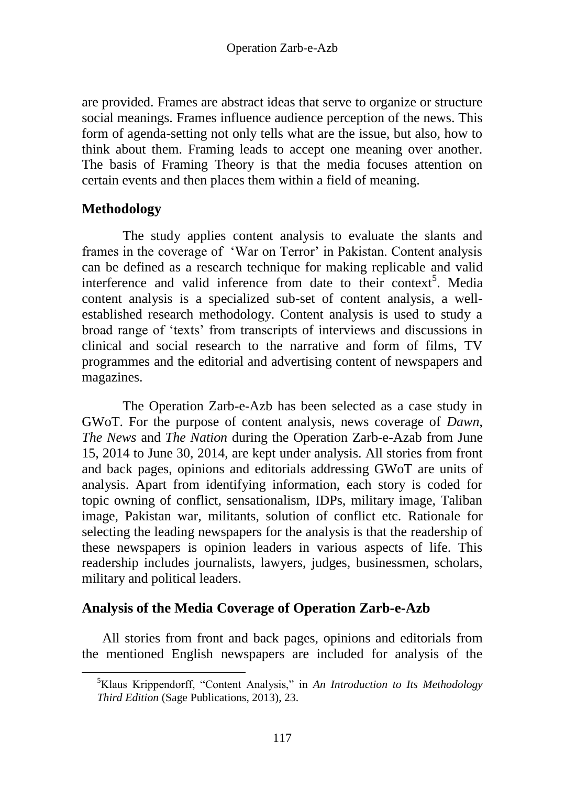are provided. Frames are abstract ideas that serve to organize or structure social meanings. Frames influence audience perception of the news. This form of agenda-setting not only tells what are the issue, but also, how to think about them. Framing leads to accept one meaning over another. The basis of Framing Theory is that the media focuses attention on certain events and then places them within a field of meaning.

# **Methodology**

 $\overline{a}$ 

The study applies content analysis to evaluate the slants and frames in the coverage of 'War on Terror' in Pakistan. Content analysis can be defined as a research technique for making replicable and valid interference and valid inference from date to their context<sup>5</sup>. Media content analysis is a specialized sub-set of content analysis, a wellestablished research methodology. Content analysis is used to study a broad range of "texts" from transcripts of interviews and discussions in clinical and social research to the narrative and form of films, TV programmes and the editorial and advertising content of newspapers and magazines.

The Operation Zarb-e-Azb has been selected as a case study in GWoT. For the purpose of content analysis, news coverage of *Dawn*, *The News* and *The Nation* during the Operation Zarb-e-Azab from June 15, 2014 to June 30, 2014, are kept under analysis. All stories from front and back pages, opinions and editorials addressing GWoT are units of analysis. Apart from identifying information, each story is coded for topic owning of conflict, sensationalism, IDPs, military image, Taliban image, Pakistan war, militants, solution of conflict etc. Rationale for selecting the leading newspapers for the analysis is that the readership of these newspapers is opinion leaders in various aspects of life. This readership includes journalists, lawyers, judges, businessmen, scholars, military and political leaders.

# **Analysis of the Media Coverage of Operation Zarb-e-Azb**

All stories from front and back pages, opinions and editorials from the mentioned English newspapers are included for analysis of the

<sup>5</sup>Klaus Krippendorff, "Content Analysis," in *An Introduction to Its Methodology Third Edition* (Sage Publications, 2013), 23.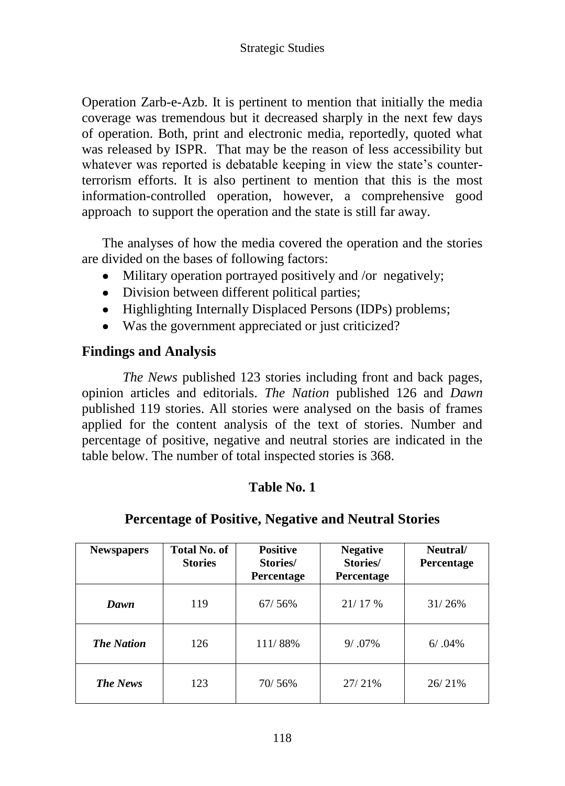Operation Zarb-e-Azb. It is pertinent to mention that initially the media coverage was tremendous but it decreased sharply in the next few days of operation. Both, print and electronic media, reportedly, quoted what was released by ISPR. That may be the reason of less accessibility but whatever was reported is debatable keeping in view the state's counterterrorism efforts. It is also pertinent to mention that this is the most information-controlled operation, however, a comprehensive good approach to support the operation and the state is still far away.

The analyses of how the media covered the operation and the stories are divided on the bases of following factors:

- Military operation portrayed positively and /or negatively;  $\bullet$
- Division between different political parties;
- Highlighting Internally Displaced Persons (IDPs) problems;
- Was the government appreciated or just criticized?

# **Findings and Analysis**

*The News* published 123 stories including front and back pages, opinion articles and editorials. *The Nation* published 126 and *Dawn* published 119 stories. All stories were analysed on the basis of frames applied for the content analysis of the text of stories. Number and percentage of positive, negative and neutral stories are indicated in the table below. The number of total inspected stories is 368.

# **Table No. 1**

# **Percentage of Positive, Negative and Neutral Stories**

| <b>Newspapers</b> | Total No. of<br><b>Stories</b> | <b>Positive</b><br>Stories/<br><b>Percentage</b> | <b>Negative</b><br>Stories/<br>Percentage | Neutral/<br>Percentage |
|-------------------|--------------------------------|--------------------------------------------------|-------------------------------------------|------------------------|
| Dawn              | 119                            | 67/56%                                           | 21/17%                                    | 31/26%                 |
| <b>The Nation</b> | 126                            | 111/88%                                          | $9/0.7\%$                                 | $6/0.04\%$             |
| <b>The News</b>   | 123                            | 70/56%                                           | 27/21%                                    | 26/21%                 |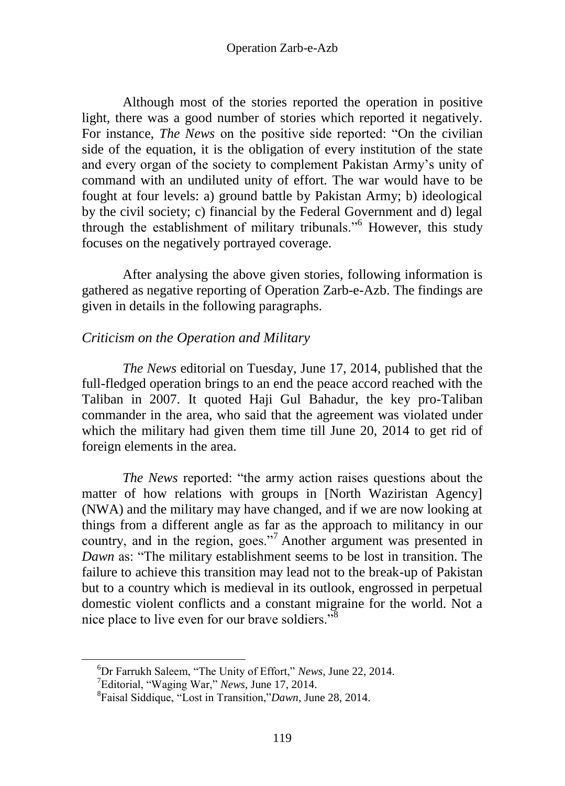Although most of the stories reported the operation in positive light, there was a good number of stories which reported it negatively. For instance, *The News* on the positive side reported: "On the civilian side of the equation, it is the obligation of every institution of the state and every organ of the society to complement Pakistan Army"s unity of command with an undiluted unity of effort. The war would have to be fought at four levels: a) ground battle by Pakistan Army; b) ideological by the civil society; c) financial by the Federal Government and d) legal through the establishment of military tribunals."<sup>6</sup> However, this study focuses on the negatively portrayed coverage.

After analysing the above given stories, following information is gathered as negative reporting of Operation Zarb-e-Azb. The findings are given in details in the following paragraphs.

# *Criticism on the Operation and Military*

*The News* editorial on Tuesday, June 17, 2014, published that the full-fledged operation brings to an end the peace accord reached with the Taliban in 2007. It quoted Haji Gul Bahadur, the key pro-Taliban commander in the area, who said that the agreement was violated under which the military had given them time till June 20, 2014 to get rid of foreign elements in the area.

*The News* reported: "the army action raises questions about the matter of how relations with groups in [North Waziristan Agency] (NWA) and the military may have changed, and if we are now looking at things from a different angle as far as the approach to militancy in our country, and in the region, goes."<sup>7</sup> Another argument was presented in *Dawn* as: "The military establishment seems to be lost in transition. The failure to achieve this transition may lead not to the break-up of Pakistan but to a country which is medieval in its outlook, engrossed in perpetual domestic violent conflicts and a constant migraine for the world. Not a nice place to live even for our brave soldiers."<sup>8</sup>

<sup>6</sup>Dr Farrukh Saleem, "The Unity of Effort," *News,* June 22, 2014.

<sup>7</sup>Editorial, "Waging War," *News*, June 17, 2014.

<sup>8</sup> Faisal Siddique, "Lost in Transition,"*Dawn*, June 28, 2014.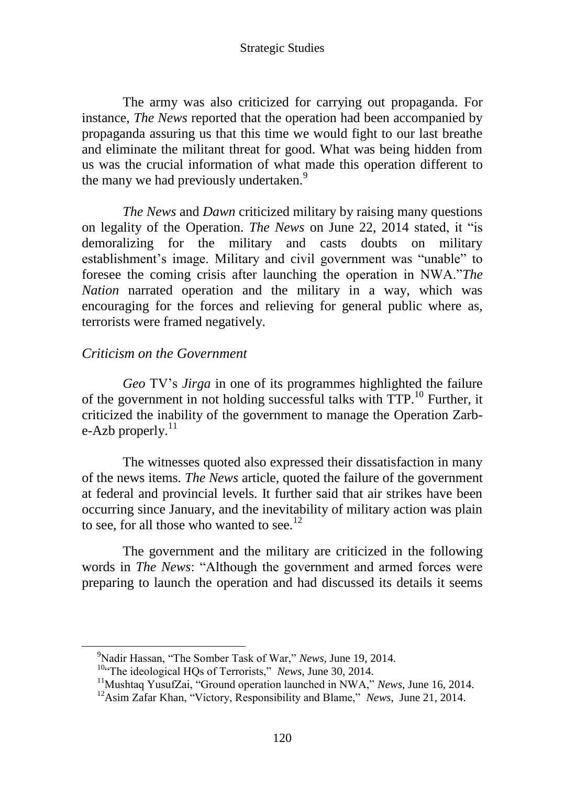The army was also criticized for carrying out propaganda. For instance, *The News* reported that the operation had been accompanied by propaganda assuring us that this time we would fight to our last breathe and eliminate the militant threat for good. What was being hidden from us was the crucial information of what made this operation different to the many we had previously undertaken.<sup>9</sup>

*The News* and *Dawn* criticized military by raising many questions on legality of the Operation. *The News* on June 22, 2014 stated, it "is demoralizing for the military and casts doubts on military establishment"s image. Military and civil government was "unable" to foresee the coming crisis after launching the operation in NWA."*The Nation* narrated operation and the military in a way, which was encouraging for the forces and relieving for general public where as, terrorists were framed negatively.

### *Criticism on the Government*

*Geo* TV"s *Jirga* in one of its programmes highlighted the failure of the government in not holding successful talks with TTP.<sup>10</sup> Further, it criticized the inability of the government to manage the Operation Zarbe-Azb properly. $^{11}$ 

The witnesses quoted also expressed their dissatisfaction in many of the news items. *The News* article, quoted the failure of the government at federal and provincial levels. It further said that air strikes have been occurring since January, and the inevitability of military action was plain to see, for all those who wanted to see.<sup>12</sup>

The government and the military are criticized in the following words in *The News*: "Although the government and armed forces were preparing to launch the operation and had discussed its details it seems

<sup>9</sup>Nadir Hassan, "The Somber Task of War," *News*, June 19, 2014.

<sup>&</sup>lt;sup>10"</sup>The ideological HQs of Terrorists," *News*, June 30, 2014.

<sup>11</sup>Mushtaq YusufZai, "Ground operation launched in NWA," *News*, June 16, 2014.

<sup>&</sup>lt;sup>12</sup>Asim Zafar Khan, "Victory, Responsibility and Blame," *News*, June 21, 2014.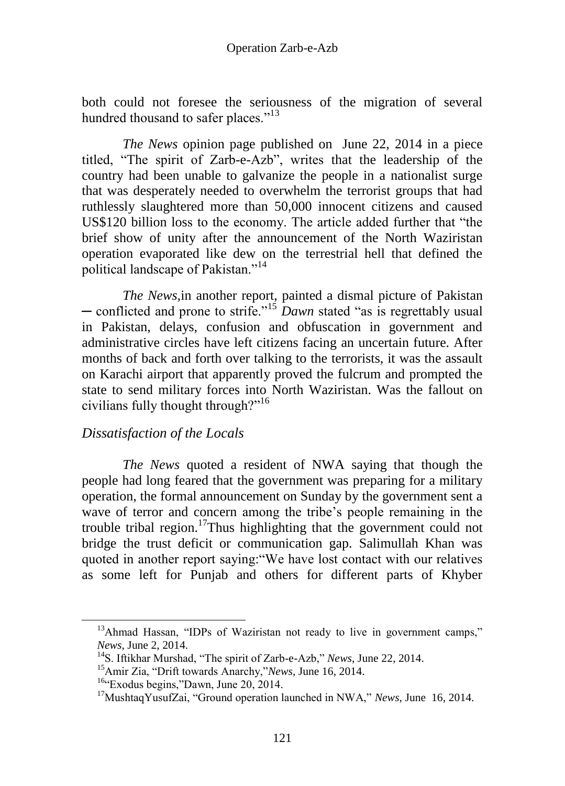both could not foresee the seriousness of the migration of several hundred thousand to safer places."<sup>13</sup>

*The News* opinion page published on June 22, 2014 in a piece titled, "The spirit of Zarb-e-Azb", writes that the leadership of the country had been unable to galvanize the people in a nationalist surge that was desperately needed to overwhelm the terrorist groups that had ruthlessly slaughtered more than 50,000 innocent citizens and caused US\$120 billion loss to the economy. The article added further that "the brief show of unity after the announcement of the North Waziristan operation evaporated like dew on the terrestrial hell that defined the political landscape of Pakistan."<sup>14</sup>

*The News,*in another report, painted a dismal picture of Pakistan ─ conflicted and prone to strife."<sup>15</sup> *Dawn* stated "as is regrettably usual in Pakistan, delays, confusion and obfuscation in government and administrative circles have left citizens facing an uncertain future. After months of back and forth over talking to the terrorists, it was the assault on Karachi airport that apparently proved the fulcrum and prompted the state to send military forces into North Waziristan. Was the fallout on civilians fully thought through?"<sup>16</sup>

# *Dissatisfaction of the Locals*

*The News* quoted a resident of NWA saying that though the people had long feared that the government was preparing for a military operation, the formal announcement on Sunday by the government sent a wave of terror and concern among the tribe's people remaining in the trouble tribal region.<sup>17</sup>Thus highlighting that the government could not bridge the trust deficit or communication gap. Salimullah Khan was quoted in another report saying:"We have lost contact with our relatives as some left for Punjab and others for different parts of Khyber

<sup>&</sup>lt;sup>13</sup>Ahmad Hassan, "IDPs of Waziristan not ready to live in government camps," *News*, June 2, 2014.

<sup>14</sup>S. Iftikhar Murshad, "The spirit of Zarb-e-Azb," *News*, June 22, 2014.

<sup>15</sup>Amir Zia, "Drift towards Anarchy,"*News*, June 16, 2014.

<sup>&</sup>lt;sup>16</sup>"Exodus begins,"Dawn, June 20, 2014.

<sup>17</sup>MushtaqYusufZai, "Ground operation launched in NWA," *News*, June 16, 2014.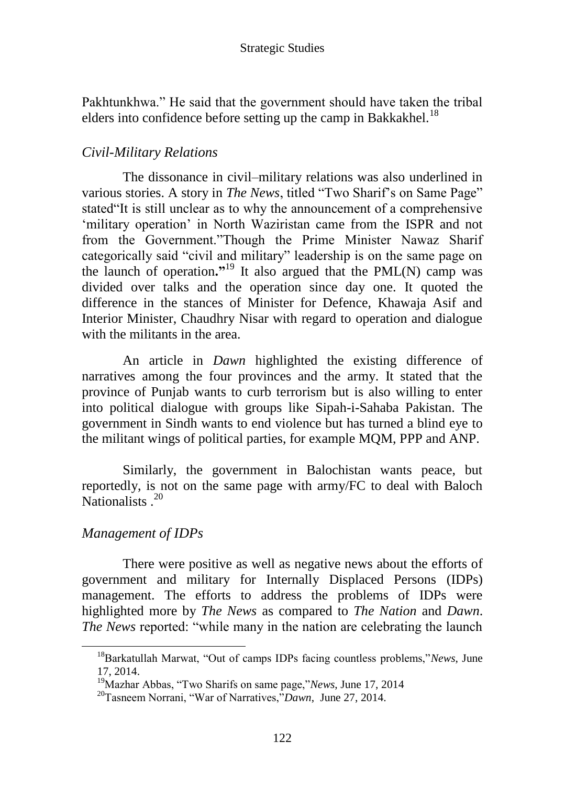Pakhtunkhwa." He said that the government should have taken the tribal elders into confidence before setting up the camp in Bakkakhel.<sup>18</sup>

# *Civil-Military Relations*

The dissonance in civil–military relations was also underlined in various stories. A story in *The News*, titled "Two Sharif's on Same Page" stated"It is still unclear as to why the announcement of a comprehensive 'military operation' in North Waziristan came from the ISPR and not from the Government."Though the Prime Minister Nawaz Sharif categorically said "civil and military" leadership is on the same page on the launch of operation**."**<sup>19</sup> It also argued that the PML(N) camp was divided over talks and the operation since day one. It quoted the difference in the stances of Minister for Defence, Khawaja Asif and Interior Minister, Chaudhry Nisar with regard to operation and dialogue with the militants in the area.

An article in *Dawn* highlighted the existing difference of narratives among the four provinces and the army. It stated that the province of Punjab wants to curb terrorism but is also willing to enter into political dialogue with groups like Sipah-i-Sahaba Pakistan. The government in Sindh wants to end violence but has turned a blind eye to the militant wings of political parties, for example MQM, PPP and ANP.

Similarly, the government in Balochistan wants peace, but reportedly, is not on the same page with army/FC to deal with Baloch Nationalists<sup>20</sup>

# *Management of IDPs*

There were positive as well as negative news about the efforts of government and military for Internally Displaced Persons (IDPs) management. The efforts to address the problems of IDPs were highlighted more by *The News* as compared to *The Nation* and *Dawn*. *The News* reported: "while many in the nation are celebrating the launch

<sup>18</sup>Barkatullah Marwat, "Out of camps IDPs facing countless problems,"*News*, June 17, 2014.

<sup>19</sup>Mazhar Abbas, "Two Sharifs on same page,"*News*, June 17, 2014

<sup>20</sup>Tasneem Norrani, "War of Narratives,"*Dawn*, June 27, 2014.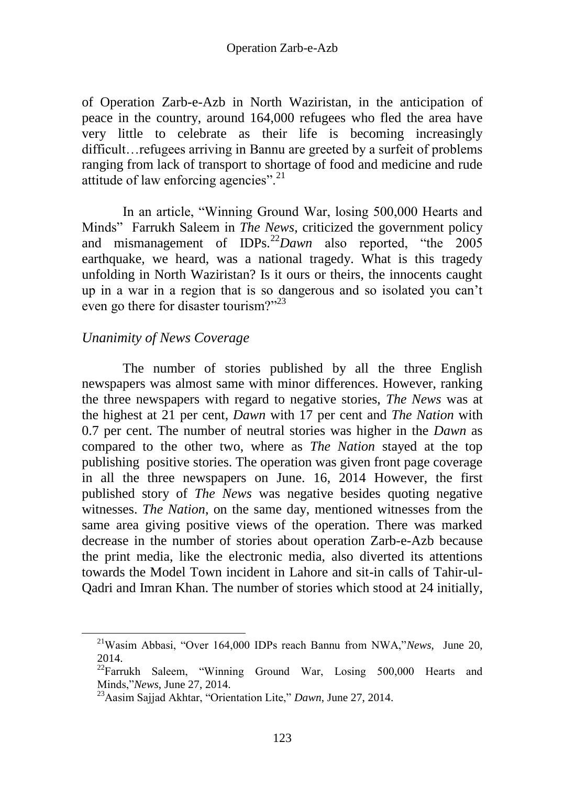of Operation Zarb-e-Azb in North Waziristan, in the anticipation of peace in the country, around 164,000 refugees who fled the area have very little to celebrate as their life is becoming increasingly difficult…refugees arriving in Bannu are greeted by a surfeit of problems ranging from lack of transport to shortage of food and medicine and rude attitude of law enforcing agencies". $^{21}$ 

In an article, "Winning Ground War, losing 500,000 Hearts and Minds" Farrukh Saleem in *The News*, criticized the government policy and mismanagement of IDPs.<sup>22</sup>*Dawn* also reported, "the 2005 earthquake, we heard, was a national tragedy. What is this tragedy unfolding in North Waziristan? Is it ours or theirs, the innocents caught up in a war in a region that is so dangerous and so isolated you can"t even go there for disaster tourism?"<sup>23</sup>

# *Unanimity of News Coverage*

 $\overline{a}$ 

The number of stories published by all the three English newspapers was almost same with minor differences. However, ranking the three newspapers with regard to negative stories, *The News* was at the highest at 21 per cent, *Dawn* with 17 per cent and *The Nation* with 0.7 per cent. The number of neutral stories was higher in the *Dawn* as compared to the other two, where as *The Nation* stayed at the top publishing positive stories. The operation was given front page coverage in all the three newspapers on June. 16, 2014 However, the first published story of *The News* was negative besides quoting negative witnesses. *The Nation*, on the same day, mentioned witnesses from the same area giving positive views of the operation. There was marked decrease in the number of stories about operation Zarb-e-Azb because the print media, like the electronic media, also diverted its attentions towards the Model Town incident in Lahore and sit-in calls of Tahir-ul-Qadri and Imran Khan. The number of stories which stood at 24 initially,

<sup>21</sup>Wasim Abbasi, "Over 164,000 IDPs reach Bannu from NWA,"*News*, June 20, 2014.

<sup>&</sup>lt;sup>22</sup>Farrukh Saleem, "Winning Ground War, Losing 500,000 Hearts and Minds,"*News*, June 27, 2014.

<sup>23</sup>Aasim Sajjad Akhtar, "Orientation Lite," *Dawn*, June 27, 2014.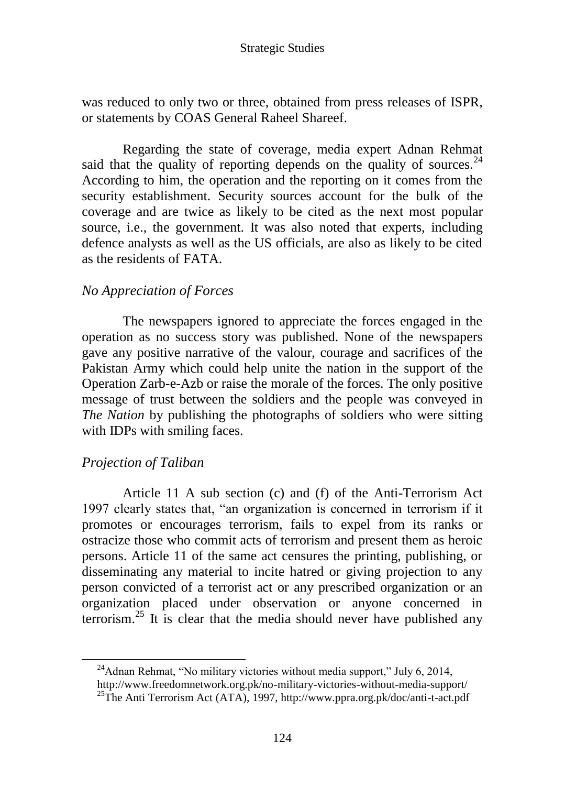was reduced to only two or three, obtained from press releases of ISPR, or statements by COAS General Raheel Shareef.

Regarding the state of coverage, media expert Adnan Rehmat said that the quality of reporting depends on the quality of sources.<sup>24</sup> According to him, the operation and the reporting on it comes from the security establishment. Security sources account for the bulk of the coverage and are twice as likely to be cited as the next most popular source, i.e., the government. It was also noted that experts, including defence analysts as well as the US officials, are also as likely to be cited as the residents of FATA.

# *No Appreciation of Forces*

The newspapers ignored to appreciate the forces engaged in the operation as no success story was published. None of the newspapers gave any positive narrative of the valour, courage and sacrifices of the Pakistan Army which could help unite the nation in the support of the Operation Zarb-e-Azb or raise the morale of the forces. The only positive message of trust between the soldiers and the people was conveyed in *The Nation* by publishing the photographs of soldiers who were sitting with IDPs with smiling faces.

### *Projection of Taliban*

Article 11 A sub section (c) and (f) of the Anti-Terrorism Act 1997 clearly states that, "an organization is concerned in terrorism if it promotes or encourages terrorism, fails to expel from its ranks or ostracize those who commit acts of terrorism and present them as heroic persons. Article 11 of the same act censures the printing, publishing, or disseminating any material to incite hatred or giving projection to any person convicted of a terrorist act or any prescribed organization or an organization placed under observation or anyone concerned in terrorism.<sup>25</sup> It is clear that the media should never have published any

 $^{24}$ Adnan Rehmat, "No military victories without media support," July 6, 2014,

http://www.freedomnetwork.org.pk/no-military-victories-without-media-support/

<sup>&</sup>lt;sup>25</sup>The Anti Terrorism Act (ATA), 1997, http://www.ppra.org.pk/doc/anti-t-act.pdf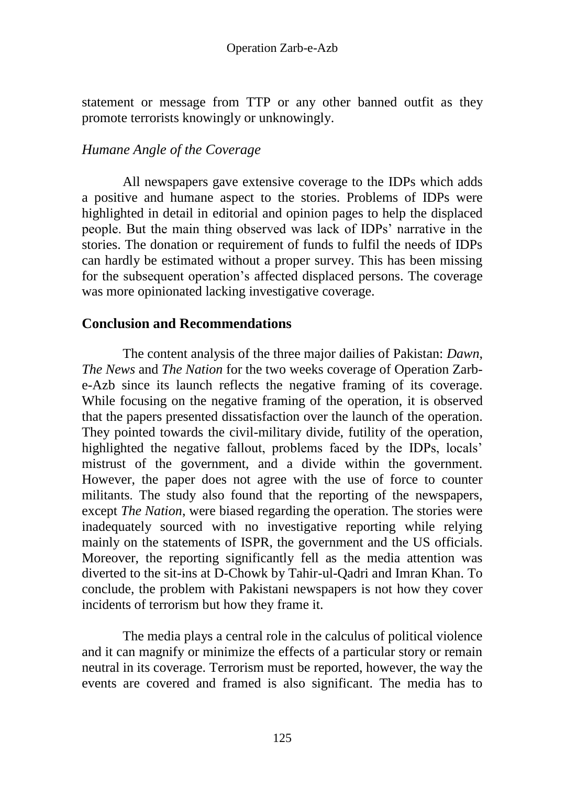statement or message from TTP or any other banned outfit as they promote terrorists knowingly or unknowingly.

# *Humane Angle of the Coverage*

All newspapers gave extensive coverage to the IDPs which adds a positive and humane aspect to the stories. Problems of IDPs were highlighted in detail in editorial and opinion pages to help the displaced people. But the main thing observed was lack of IDPs' narrative in the stories. The donation or requirement of funds to fulfil the needs of IDPs can hardly be estimated without a proper survey. This has been missing for the subsequent operation"s affected displaced persons. The coverage was more opinionated lacking investigative coverage.

# **Conclusion and Recommendations**

The content analysis of the three major dailies of Pakistan: *Dawn*, *The News* and *The Nation* for the two weeks coverage of Operation Zarbe-Azb since its launch reflects the negative framing of its coverage. While focusing on the negative framing of the operation, it is observed that the papers presented dissatisfaction over the launch of the operation. They pointed towards the civil-military divide, futility of the operation, highlighted the negative fallout, problems faced by the IDPs, locals' mistrust of the government, and a divide within the government. However, the paper does not agree with the use of force to counter militants. The study also found that the reporting of the newspapers, except *The Nation*, were biased regarding the operation. The stories were inadequately sourced with no investigative reporting while relying mainly on the statements of ISPR, the government and the US officials. Moreover, the reporting significantly fell as the media attention was diverted to the sit-ins at D-Chowk by Tahir-ul-Qadri and Imran Khan. To conclude, the problem with Pakistani newspapers is not how they cover incidents of terrorism but how they frame it.

The media plays a central role in the calculus of political violence and it can magnify or minimize the effects of a particular story or remain neutral in its coverage. Terrorism must be reported, however, the way the events are covered and framed is also significant. The media has to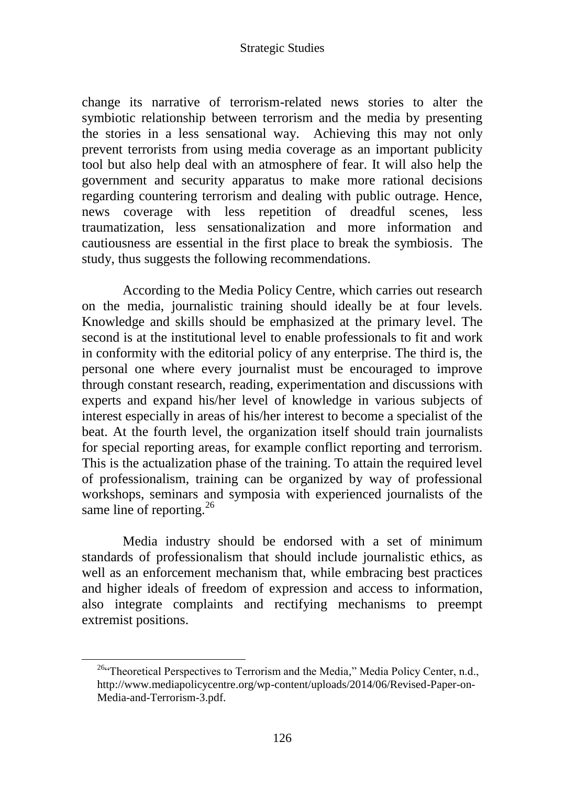change its narrative of terrorism-related news stories to alter the symbiotic relationship between terrorism and the media by presenting the stories in a less sensational way. Achieving this may not only prevent terrorists from using media coverage as an important publicity tool but also help deal with an atmosphere of fear. It will also help the government and security apparatus to make more rational decisions regarding countering terrorism and dealing with public outrage. Hence, news coverage with less repetition of dreadful scenes, less traumatization, less sensationalization and more information and cautiousness are essential in the first place to break the symbiosis. The study, thus suggests the following recommendations.

According to the Media Policy Centre, which carries out research on the media, journalistic training should ideally be at four levels. Knowledge and skills should be emphasized at the primary level. The second is at the institutional level to enable professionals to fit and work in conformity with the editorial policy of any enterprise. The third is, the personal one where every journalist must be encouraged to improve through constant research, reading, experimentation and discussions with experts and expand his/her level of knowledge in various subjects of interest especially in areas of his/her interest to become a specialist of the beat. At the fourth level, the organization itself should train journalists for special reporting areas, for example conflict reporting and terrorism. This is the actualization phase of the training. To attain the required level of professionalism, training can be organized by way of professional workshops, seminars and symposia with experienced journalists of the same line of reporting.<sup>26</sup>

Media industry should be endorsed with a set of minimum standards of professionalism that should include journalistic ethics, as well as an enforcement mechanism that, while embracing best practices and higher ideals of freedom of expression and access to information, also integrate complaints and rectifying mechanisms to preempt extremist positions.

<sup>&</sup>lt;sup>26.</sup> Theoretical Perspectives to Terrorism and the Media," Media Policy Center, n.d., http://www.mediapolicycentre.org/wp-content/uploads/2014/06/Revised-Paper-on-Media-and-Terrorism-3.pdf.